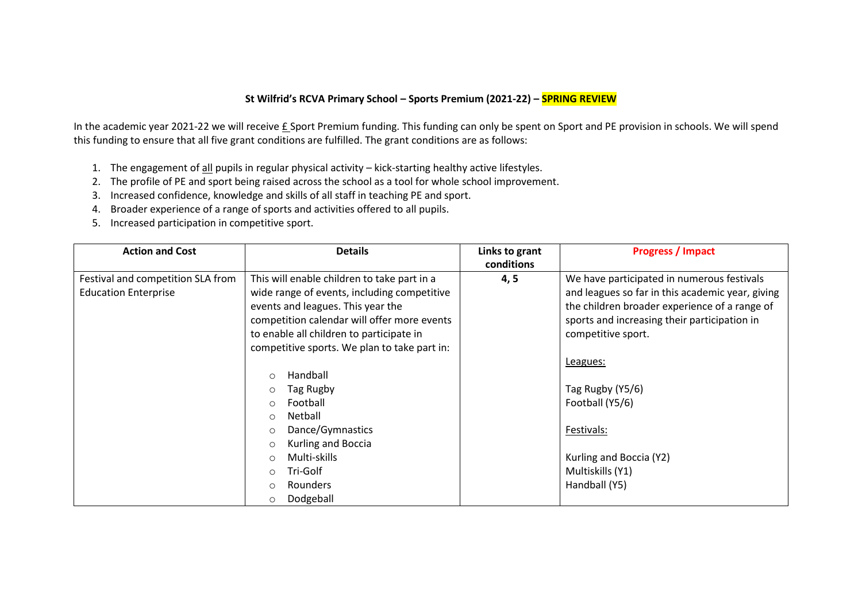## **St Wilfrid's RCVA Primary School – Sports Premium (2021-22) – SPRING REVIEW**

In the academic year 2021-22 we will receive £ Sport Premium funding. This funding can only be spent on Sport and PE provision in schools. We will spend this funding to ensure that all five grant conditions are fulfilled. The grant conditions are as follows:

- 1. The engagement of all pupils in regular physical activity kick-starting healthy active lifestyles.
- 2. The profile of PE and sport being raised across the school as a tool for whole school improvement.
- 3. Increased confidence, knowledge and skills of all staff in teaching PE and sport.
- 4. Broader experience of a range of sports and activities offered to all pupils.
- 5. Increased participation in competitive sport.

| <b>Action and Cost</b>            | <b>Details</b>                               | Links to grant | <b>Progress / Impact</b>                         |
|-----------------------------------|----------------------------------------------|----------------|--------------------------------------------------|
|                                   |                                              | conditions     |                                                  |
| Festival and competition SLA from | This will enable children to take part in a  | 4, 5           | We have participated in numerous festivals       |
| <b>Education Enterprise</b>       | wide range of events, including competitive  |                | and leagues so far in this academic year, giving |
|                                   | events and leagues. This year the            |                | the children broader experience of a range of    |
|                                   | competition calendar will offer more events  |                | sports and increasing their participation in     |
|                                   | to enable all children to participate in     |                | competitive sport.                               |
|                                   | competitive sports. We plan to take part in: |                |                                                  |
|                                   |                                              |                | Leagues:                                         |
|                                   | Handball<br>$\circ$                          |                |                                                  |
|                                   | Tag Rugby<br>$\circ$                         |                | Tag Rugby (Y5/6)                                 |
|                                   | Football<br>$\circ$                          |                | Football (Y5/6)                                  |
|                                   | Netball<br>$\circ$                           |                |                                                  |
|                                   | Dance/Gymnastics<br>$\circ$                  |                | Festivals:                                       |
|                                   | Kurling and Boccia<br>$\circ$                |                |                                                  |
|                                   | Multi-skills<br>$\circ$                      |                | Kurling and Boccia (Y2)                          |
|                                   | Tri-Golf<br>$\circ$                          |                | Multiskills (Y1)                                 |
|                                   | <b>Rounders</b><br>$\circ$                   |                | Handball (Y5)                                    |
|                                   | Dodgeball<br>$\circ$                         |                |                                                  |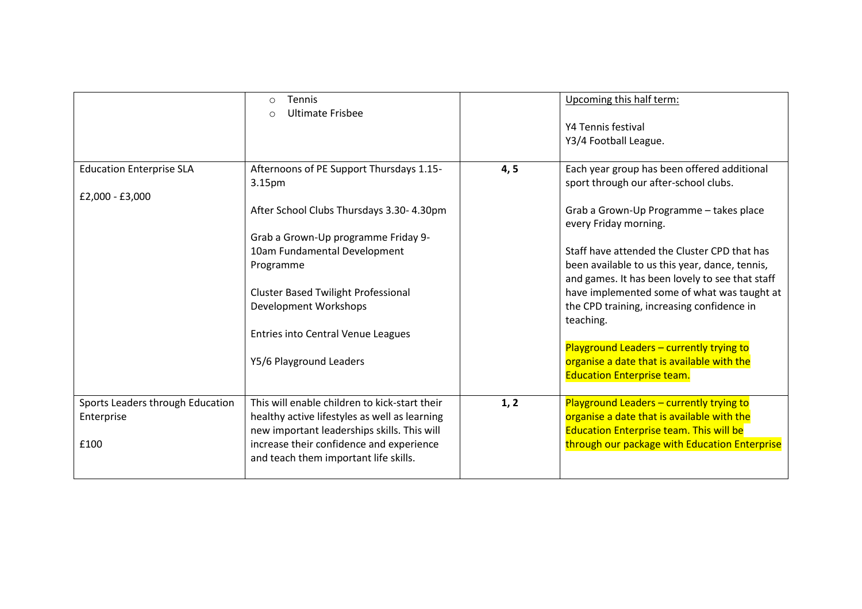|                                  | <b>Tennis</b><br>$\bigcirc$<br><b>Ultimate Frisbee</b><br>$\circ$ |      | Upcoming this half term:<br>Y4 Tennis festival<br>Y3/4 Football League.                           |
|----------------------------------|-------------------------------------------------------------------|------|---------------------------------------------------------------------------------------------------|
| <b>Education Enterprise SLA</b>  | Afternoons of PE Support Thursdays 1.15-<br>3.15pm                | 4, 5 | Each year group has been offered additional<br>sport through our after-school clubs.              |
| £2,000 - £3,000                  |                                                                   |      |                                                                                                   |
|                                  | After School Clubs Thursdays 3.30-4.30pm                          |      | Grab a Grown-Up Programme - takes place<br>every Friday morning.                                  |
|                                  | Grab a Grown-Up programme Friday 9-                               |      |                                                                                                   |
|                                  | 10am Fundamental Development                                      |      | Staff have attended the Cluster CPD that has                                                      |
|                                  | Programme                                                         |      | been available to us this year, dance, tennis,<br>and games. It has been lovely to see that staff |
|                                  | <b>Cluster Based Twilight Professional</b>                        |      | have implemented some of what was taught at                                                       |
|                                  | Development Workshops                                             |      | the CPD training, increasing confidence in<br>teaching.                                           |
|                                  | <b>Entries into Central Venue Leagues</b>                         |      |                                                                                                   |
|                                  |                                                                   |      | Playground Leaders - currently trying to                                                          |
|                                  | Y5/6 Playground Leaders                                           |      | organise a date that is available with the                                                        |
|                                  |                                                                   |      | <b>Education Enterprise team.</b>                                                                 |
| Sports Leaders through Education | This will enable children to kick-start their                     | 1, 2 | Playground Leaders - currently trying to                                                          |
| Enterprise                       | healthy active lifestyles as well as learning                     |      | organise a date that is available with the                                                        |
|                                  | new important leaderships skills. This will                       |      | <b>Education Enterprise team. This will be</b>                                                    |
| £100                             | increase their confidence and experience                          |      | through our package with Education Enterprise                                                     |
|                                  | and teach them important life skills.                             |      |                                                                                                   |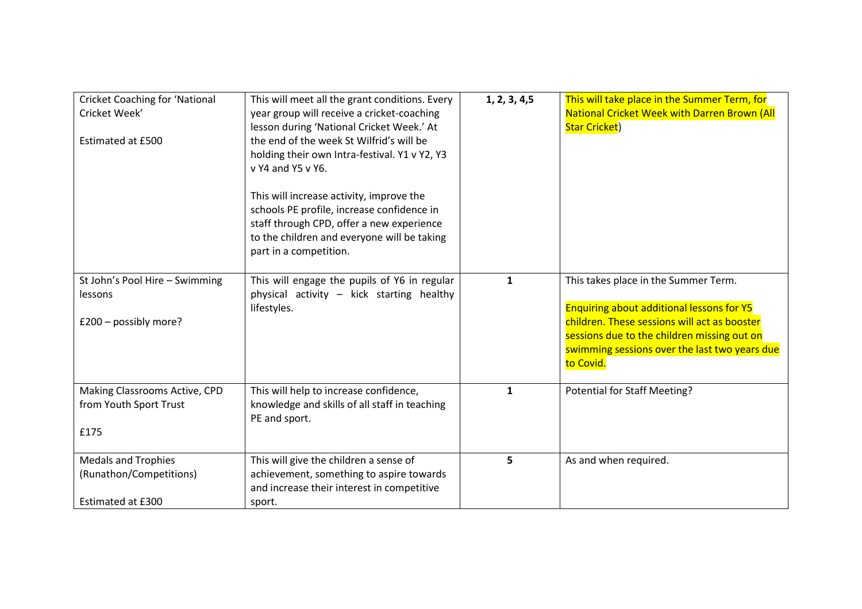| <b>Cricket Coaching for 'National</b><br>Cricket Week'<br><b>Estimated at £500</b> | This will meet all the grant conditions. Every<br>year group will receive a cricket-coaching<br>lesson during 'National Cricket Week.' At<br>the end of the week St Wilfrid's will be<br>holding their own Intra-festival. Y1 v Y2, Y3<br>v Y4 and Y5 v Y6.<br>This will increase activity, improve the<br>schools PE profile, increase confidence in | 1, 2, 3, 4, 5 | This will take place in the Summer Term, for<br><b>National Cricket Week with Darren Brown (All</b><br><b>Star Cricket)</b>                                                                                                                           |
|------------------------------------------------------------------------------------|-------------------------------------------------------------------------------------------------------------------------------------------------------------------------------------------------------------------------------------------------------------------------------------------------------------------------------------------------------|---------------|-------------------------------------------------------------------------------------------------------------------------------------------------------------------------------------------------------------------------------------------------------|
|                                                                                    | staff through CPD, offer a new experience<br>to the children and everyone will be taking<br>part in a competition.                                                                                                                                                                                                                                    |               |                                                                                                                                                                                                                                                       |
| St John's Pool Hire - Swimming<br>lessons<br>$£200 - possibly more?$               | This will engage the pupils of Y6 in regular<br>physical activity - kick starting healthy<br>lifestyles.                                                                                                                                                                                                                                              | $\mathbf{1}$  | This takes place in the Summer Term.<br><b>Enquiring about additional lessons for Y5</b><br>children. These sessions will act as booster<br>sessions due to the children missing out on<br>swimming sessions over the last two years due<br>to Covid. |
| Making Classrooms Active, CPD<br>from Youth Sport Trust<br>£175                    | This will help to increase confidence,<br>knowledge and skills of all staff in teaching<br>PE and sport.                                                                                                                                                                                                                                              | $\mathbf{1}$  | Potential for Staff Meeting?                                                                                                                                                                                                                          |
| <b>Medals and Trophies</b><br>(Runathon/Competitions)<br>Estimated at £300         | This will give the children a sense of<br>achievement, something to aspire towards<br>and increase their interest in competitive<br>sport.                                                                                                                                                                                                            | 5             | As and when required.                                                                                                                                                                                                                                 |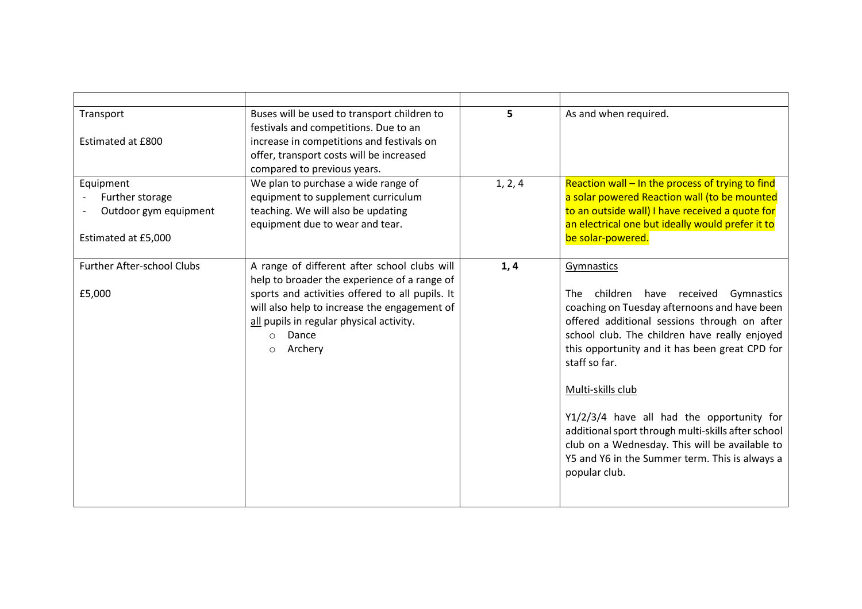| Transport                         | Buses will be used to transport children to       | 5       | As and when required.                                                                           |
|-----------------------------------|---------------------------------------------------|---------|-------------------------------------------------------------------------------------------------|
|                                   | festivals and competitions. Due to an             |         |                                                                                                 |
| Estimated at £800                 | increase in competitions and festivals on         |         |                                                                                                 |
|                                   | offer, transport costs will be increased          |         |                                                                                                 |
|                                   | compared to previous years.                       |         |                                                                                                 |
| Equipment                         | We plan to purchase a wide range of               | 1, 2, 4 | Reaction wall - In the process of trying to find                                                |
| Further storage                   | equipment to supplement curriculum                |         | a solar powered Reaction wall (to be mounted                                                    |
| Outdoor gym equipment             | teaching. We will also be updating                |         | to an outside wall) I have received a quote for                                                 |
|                                   | equipment due to wear and tear.                   |         | an electrical one but ideally would prefer it to                                                |
| Estimated at £5,000               |                                                   |         | be solar-powered.                                                                               |
|                                   |                                                   |         |                                                                                                 |
| <b>Further After-school Clubs</b> | A range of different after school clubs will      | 1, 4    | Gymnastics                                                                                      |
|                                   | help to broader the experience of a range of      |         |                                                                                                 |
| £5,000                            | sports and activities offered to all pupils. It   |         | children<br>have received<br>Gymnastics<br>The                                                  |
|                                   | will also help to increase the engagement of      |         | coaching on Tuesday afternoons and have been                                                    |
|                                   | all pupils in regular physical activity.<br>Dance |         | offered additional sessions through on after                                                    |
|                                   | $\circ$<br>Archery                                |         | school club. The children have really enjoyed<br>this opportunity and it has been great CPD for |
|                                   | $\circ$                                           |         | staff so far.                                                                                   |
|                                   |                                                   |         |                                                                                                 |
|                                   |                                                   |         | Multi-skills club                                                                               |
|                                   |                                                   |         |                                                                                                 |
|                                   |                                                   |         | Y1/2/3/4 have all had the opportunity for                                                       |
|                                   |                                                   |         | additional sport through multi-skills after school                                              |
|                                   |                                                   |         | club on a Wednesday. This will be available to                                                  |
|                                   |                                                   |         | Y5 and Y6 in the Summer term. This is always a                                                  |
|                                   |                                                   |         | popular club.                                                                                   |
|                                   |                                                   |         |                                                                                                 |
|                                   |                                                   |         |                                                                                                 |